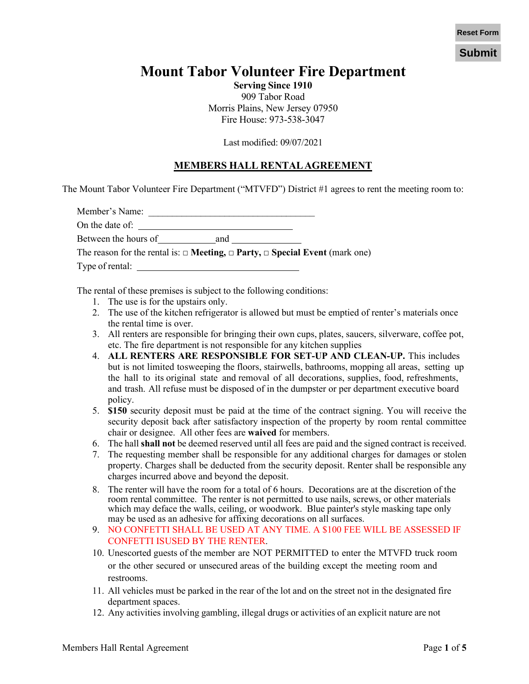**Submit**

# **Mount Tabor Volunteer Fire Department**

**Serving Since 1910** 909 Tabor Road Morris Plains, New Jersey 07950 Fire House: 973-538-3047

Last modified: 09/07/2021

### **MEMBERS HALL RENTALAGREEMENT**

The Mount Tabor Volunteer Fire Department ("MTVFD") District #1 agrees to rent the meeting room to:

| Member's Name:       |     |                                                                                                                          |
|----------------------|-----|--------------------------------------------------------------------------------------------------------------------------|
| On the date of:      |     |                                                                                                                          |
| Between the hours of | and |                                                                                                                          |
|                      |     | The reason for the rental is: $\Box$ <b>Meeting, <math>\Box</math> Party, <math>\Box</math> Special Event</b> (mark one) |
| Type of rental:      |     |                                                                                                                          |

The rental of these premises is subject to the following conditions:

- 1. The use is for the upstairs only.
- 2. The use of the kitchen refrigerator is allowed but must be emptied of renter's materials once the rental time is over.
- 3. All renters are responsible for bringing their own cups, plates, saucers, silverware, coffee pot, etc. The fire department is not responsible for any kitchen supplies
- 4. **ALL RENTERS ARE RESPONSIBLE FOR SET-UP AND CLEAN-UP.** This includes but is not limited to sweeping the floors, stairwells, bathrooms, mopping all areas, setting up the hall to its original state and removal of all decorations, supplies, food, refreshments, and trash. All refuse must be disposed of in the dumpster or per department executive board policy.
- 5. **\$150** security deposit must be paid at the time of the contract signing. You will receive the security deposit back after satisfactory inspection of the property by room rental committee chair or designee. All other fees are **waived** for members.
- 6. The hall **shall not** be deemed reserved until all fees are paid and the signed contract is received.
- 7. The requesting member shall be responsible for any additional charges for damages or stolen property. Charges shall be deducted from the security deposit. Renter shall be responsible any charges incurred above and beyond the deposit.
- 8. The renter will have the room for a total of 6 hours. Decorations are at the discretion of the room rental committee. The renter is not permitted to use nails, screws, or other materials which may deface the walls, ceiling, or woodwork. Blue painter's style masking tape only may be used as an adhesive for affixing decorations on all surfaces.
- 9. NO CONFETTI SHALL BE USED AT ANY TIME. A \$100 FEE WILL BE ASSESSED IF CONFETTI ISUSED BY THE RENTER.
- 10. Unescorted guests of the member are NOT PERMITTED to enter the MTVFD truck room or the other secured or unsecured areas of the building except the meeting room and restrooms.
- 11. All vehicles must be parked in the rear of the lot and on the street not in the designated fire department spaces.
- 12. Any activities involving gambling, illegal drugs or activities of an explicit nature are not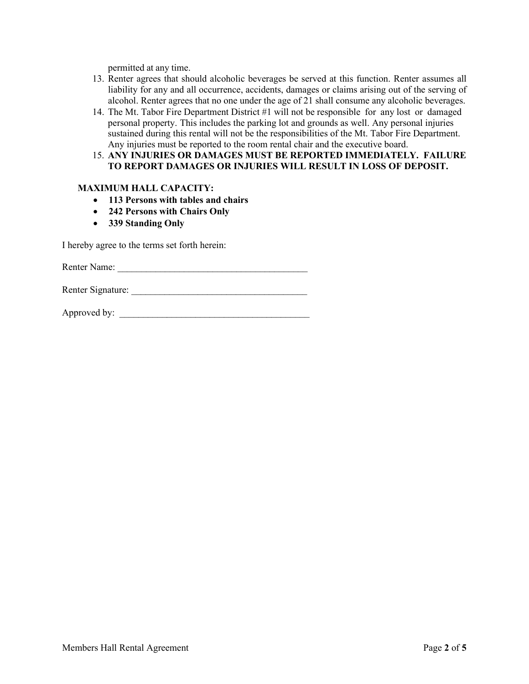permitted at any time.

- 13. Renter agrees that should alcoholic beverages be served at this function. Renter assumes all liability for any and all occurrence, accidents, damages or claims arising out of the serving of alcohol. Renter agrees that no one under the age of 21 shall consume any alcoholic beverages.
- 14. The Mt. Tabor Fire Department District #1 will not be responsible for any lost or damaged personal property. This includes the parking lot and grounds as well. Any personal injuries sustained during this rental will not be the responsibilities of the Mt. Tabor Fire Department. Any injuries must be reported to the room rental chair and the executive board.
- 15. **ANY INJURIES OR DAMAGES MUST BE REPORTED IMMEDIATELY. FAILURE TO REPORT DAMAGES OR INJURIES WILL RESULT IN LOSS OF DEPOSIT.**

#### **MAXIMUM HALL CAPACITY:**

- **113 Persons with tables and chairs**
- **242 Persons with Chairs Only**
- **339 Standing Only**

I hereby agree to the terms set forth herein:

Renter Name:

Renter Signature:

Approved by: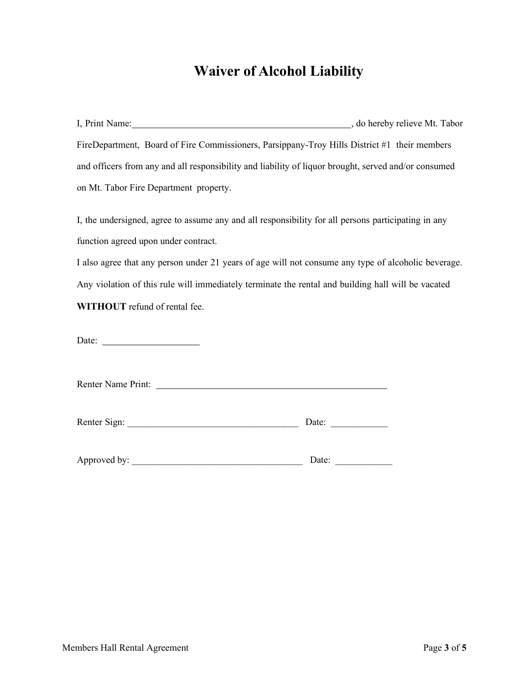# **Waiver of Alcohol Liability**

| I, Print Name:                                                                                       | , do hereby relieve Mt. Tabor |
|------------------------------------------------------------------------------------------------------|-------------------------------|
| FireDepartment, Board of Fire Commissioners, Parsippany-Troy Hills District #1 their members         |                               |
| and officers from any and all responsibility and liability of liquor brought, served and/or consumed |                               |
| on Mt. Tabor Fire Department property.                                                               |                               |

I, the undersigned, agree to assume any and all responsibility for all persons participating in any function agreed upon under contract.

I also agree that any person under 21 years of age will not consume any type of alcoholic beverage. Any violation of this rule will immediately terminate the rental and building hall will be vacated **WITHOUT** refund of rental fee.

Date:

Renter Name Print:

| Renter Sign: | Jate: |  |
|--------------|-------|--|
|              |       |  |

Approved by: \_\_\_\_\_\_\_\_\_\_\_\_\_\_\_\_\_\_\_\_\_\_\_\_\_\_\_\_\_\_\_\_\_\_\_\_ Date: \_\_\_\_\_\_\_\_\_\_\_\_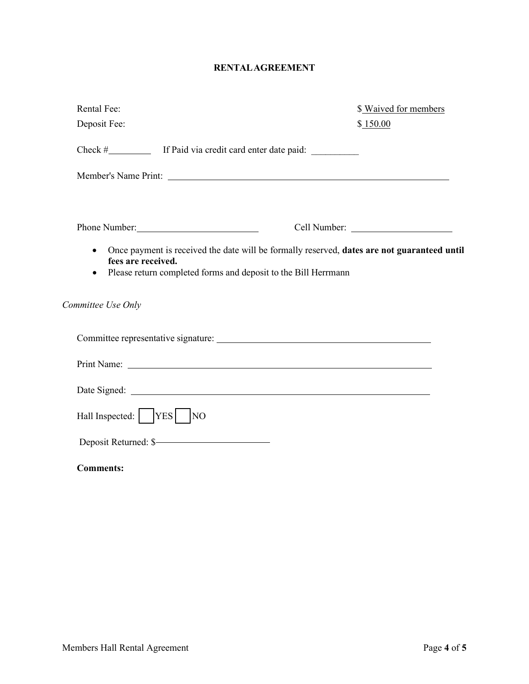### **RENTALAGREEMENT**

| Rental Fee:                                                                                                                                                                                                                    | \$ Waived for members                                                                                                                                         |
|--------------------------------------------------------------------------------------------------------------------------------------------------------------------------------------------------------------------------------|---------------------------------------------------------------------------------------------------------------------------------------------------------------|
| Deposit Fee:                                                                                                                                                                                                                   | \$150.00                                                                                                                                                      |
|                                                                                                                                                                                                                                |                                                                                                                                                               |
|                                                                                                                                                                                                                                |                                                                                                                                                               |
| Phone Number: New York Changes and School School School School School School School School School School School School School School School School School School School School School School School School School School Schoo | Cell Number:                                                                                                                                                  |
| $\bullet$<br>fees are received.<br>٠                                                                                                                                                                                           | Once payment is received the date will be formally reserved, dates are not guaranteed until<br>Please return completed forms and deposit to the Bill Herrmann |
| Committee Use Only                                                                                                                                                                                                             |                                                                                                                                                               |
|                                                                                                                                                                                                                                |                                                                                                                                                               |
|                                                                                                                                                                                                                                |                                                                                                                                                               |
|                                                                                                                                                                                                                                |                                                                                                                                                               |
| Hall Inspected:    YES   NO                                                                                                                                                                                                    |                                                                                                                                                               |
| Deposit Returned: \$                                                                                                                                                                                                           |                                                                                                                                                               |
| <b>Comments:</b>                                                                                                                                                                                                               |                                                                                                                                                               |